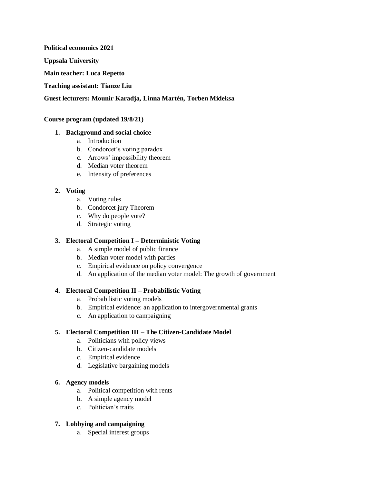**Political economics 2021** 

**Uppsala University**

**Main teacher: Luca Repetto**

**Teaching assistant: Tianze Liu**

### **Guest lecturers: Mounir Karadja, Linna Martén, Torben Mideksa**

#### **Course program (updated 19/8/21)**

#### **1. Background and social choice**

- a. Introduction
- b. Condorcet's voting paradox
- c. Arrows' impossibility theorem
- d. Median voter theorem
- e. Intensity of preferences

### **2. Voting**

- a. Voting rules
- b. Condorcet jury Theorem
- c. Why do people vote?
- d. Strategic voting

## **3. Electoral Competition I – Deterministic Voting**

- a. A simple model of public finance
- b. Median voter model with parties
- c. Empirical evidence on policy convergence
- d. An application of the median voter model: The growth of government

### **4. Electoral Competition II – Probabilistic Voting**

- a. Probabilistic voting models
- b. Empirical evidence: an application to intergovernmental grants
- c. An application to campaigning

### **5. Electoral Competition III – The Citizen-Candidate Model**

- a. Politicians with policy views
- b. Citizen-candidate models
- c. Empirical evidence
- d. Legislative bargaining models

# **6. Agency models**

- a. Political competition with rents
- b. A simple agency model
- c. Politician's traits

### **7. Lobbying and campaigning**

a. Special interest groups